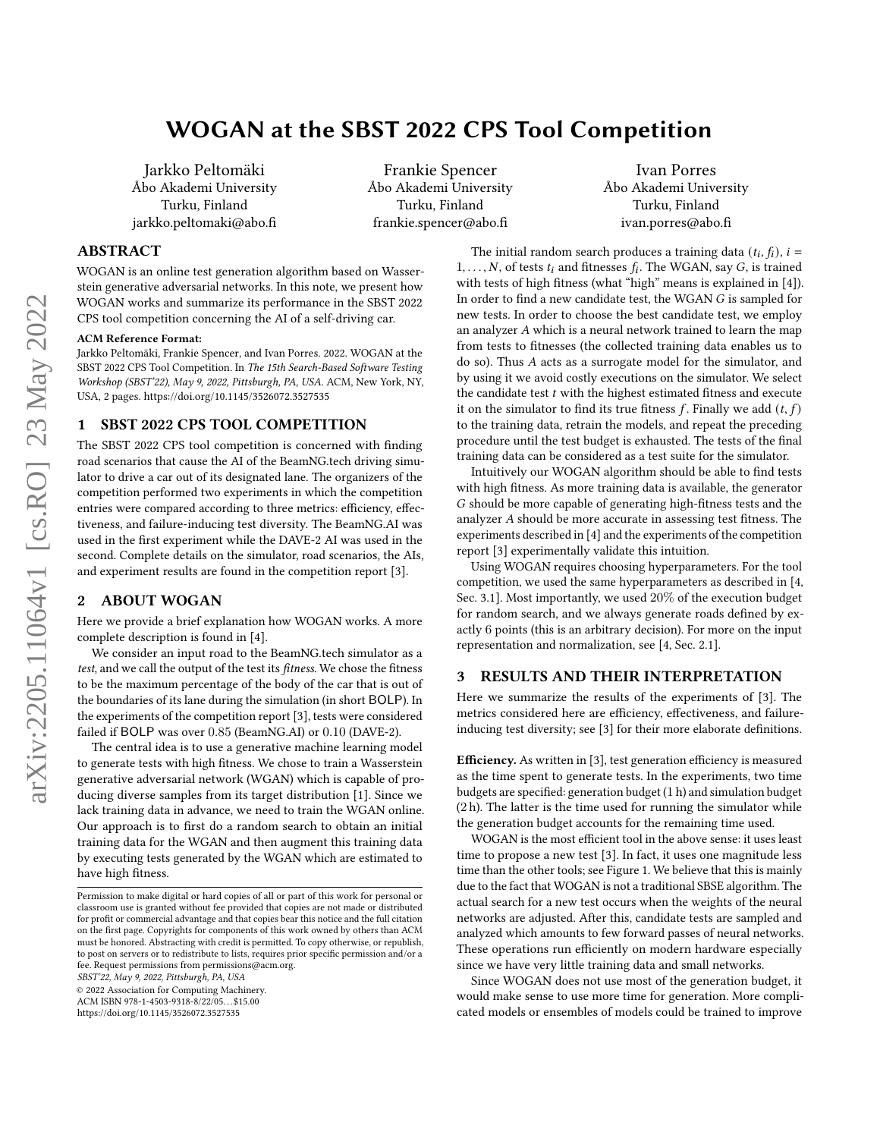# WOGAN at the SBST 2022 CPS Tool Competition

Jarkko Peltomäki Åbo Akademi University Turku, Finland jarkko.peltomaki@abo.fi

Frankie Spencer Åbo Akademi University Turku, Finland frankie.spencer@abo.fi

Ivan Porres Åbo Akademi University Turku, Finland ivan.porres@abo.fi

## ABSTRACT

WOGAN is an online test generation algorithm based on Wasserstein generative adversarial networks. In this note, we present how WOGAN works and summarize its performance in the SBST 2022 CPS tool competition concerning the AI of a self-driving car.

#### ACM Reference Format:

Jarkko Peltomäki, Frankie Spencer, and Ivan Porres. 2022. WOGAN at the SBST 2022 CPS Tool Competition. In The 15th Search-Based Software Testing Workshop (SBST'22), May 9, 2022, Pittsburgh, PA, USA. ACM, New York, NY, USA, [2](#page-1-0) pages.<https://doi.org/10.1145/3526072.3527535>

## 1 SBST 2022 CPS TOOL COMPETITION

The SBST 2022 CPS tool competition is concerned with finding road scenarios that cause the AI of the BeamNG.tech driving simulator to drive a car out of its designated lane. The organizers of the competition performed two experiments in which the competition entries were compared according to three metrics: efficiency, effectiveness, and failure-inducing test diversity. The BeamNG.AI was used in the first experiment while the DAVE-2 AI was used in the second. Complete details on the simulator, road scenarios, the AIs, and experiment results are found in the competition report [\[3\]](#page-1-1).

## 2 ABOUT WOGAN

Here we provide a brief explanation how WOGAN works. A more complete description is found in [\[4\]](#page-1-2).

We consider an input road to the BeamNG.tech simulator as a test, and we call the output of the test its fitness. We chose the fitness to be the maximum percentage of the body of the car that is out of the boundaries of its lane during the simulation (in short BOLP). In the experiments of the competition report [\[3\]](#page-1-1), tests were considered failed if BOLP was over 0.85 (BeamNG.AI) or 0.10 (DAVE-2).

The central idea is to use a generative machine learning model to generate tests with high fitness. We chose to train a Wasserstein generative adversarial network (WGAN) which is capable of producing diverse samples from its target distribution [\[1\]](#page-1-3). Since we lack training data in advance, we need to train the WGAN online. Our approach is to first do a random search to obtain an initial training data for the WGAN and then augment this training data by executing tests generated by the WGAN which are estimated to have high fitness.

SBST'22, May 9, 2022, Pittsburgh, PA, USA

© 2022 Association for Computing Machinery.

ACM ISBN 978-1-4503-9318-8/22/05. . . \$15.00

<https://doi.org/10.1145/3526072.3527535>

new tests. In order to choose the best candidate test, we employ an analyzer  $A$  which is a neural network trained to learn the map from tests to fitnesses (the collected training data enables us to do so). Thus  $A$  acts as a surrogate model for the simulator, and by using it we avoid costly executions on the simulator. We select the candidate test  $t$  with the highest estimated fitness and execute it on the simulator to find its true fitness  $f$ . Finally we add  $(t, f)$ to the training data, retrain the models, and repeat the preceding procedure until the test budget is exhausted. The tests of the final training data can be considered as a test suite for the simulator. Intuitively our WOGAN algorithm should be able to find tests

The initial random search produces a training data  $(t_i, f_i)$ ,  $i =$  $1, \ldots, N$ , of tests  $t_i$  and fitnesses  $f_i$ . The WGAN, say  $G$ , is trained with tests of high fitness (what "high" means is explained in [\[4\]](#page-1-2)). In order to find a new candidate test, the WGAN  $G$  is sampled for

with high fitness. As more training data is available, the generator G should be more capable of generating high-fitness tests and the analyzer  $A$  should be more accurate in assessing test fitness. The experiments described in [\[4\]](#page-1-2) and the experiments of the competition report [\[3\]](#page-1-1) experimentally validate this intuition.

Using WOGAN requires choosing hyperparameters. For the tool competition, we used the same hyperparameters as described in [\[4,](#page-1-2) Sec. 3.1]. Most importantly, we used 20% of the execution budget for random search, and we always generate roads defined by exactly 6 points (this is an arbitrary decision). For more on the input representation and normalization, see [\[4,](#page-1-2) Sec. 2.1].

#### 3 RESULTS AND THEIR INTERPRETATION

Here we summarize the results of the experiments of [\[3\]](#page-1-1). The metrics considered here are efficiency, effectiveness, and failureinducing test diversity; see [\[3\]](#page-1-1) for their more elaborate definitions.

Efficiency. As written in [\[3\]](#page-1-1), test generation efficiency is measured as the time spent to generate tests. In the experiments, two time budgets are specified: generation budget (1 h) and simulation budget (2 h). The latter is the time used for running the simulator while the generation budget accounts for the remaining time used.

WOGAN is the most efficient tool in the above sense: it uses least time to propose a new test [\[3\]](#page-1-1). In fact, it uses one magnitude less time than the other tools; see [Figure 1.](#page-1-4) We believe that this is mainly due to the fact that WOGAN is not a traditional SBSE algorithm. The actual search for a new test occurs when the weights of the neural networks are adjusted. After this, candidate tests are sampled and analyzed which amounts to few forward passes of neural networks. These operations run efficiently on modern hardware especially since we have very little training data and small networks.

Since WOGAN does not use most of the generation budget, it would make sense to use more time for generation. More complicated models or ensembles of models could be trained to improve

Permission to make digital or hard copies of all or part of this work for personal or classroom use is granted without fee provided that copies are not made or distributed for profit or commercial advantage and that copies bear this notice and the full citation on the first page. Copyrights for components of this work owned by others than ACM must be honored. Abstracting with credit is permitted. To copy otherwise, or republish, to post on servers or to redistribute to lists, requires prior specific permission and/or a fee. Request permissions from permissions@acm.org.